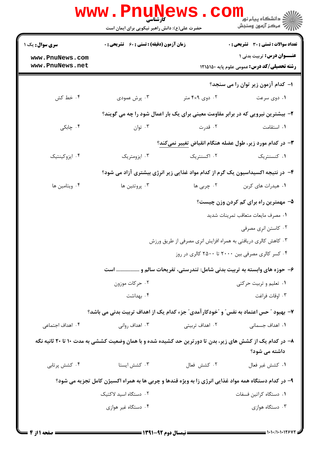|                                    | حضرت علی(ع): دانش راهبر نیکویی برای ایمان است                                                            |                 | ≦ دانشگاه پیام نو <mark>ر</mark><br>ر آمرڪز آزمون وسنڊش                                |  |
|------------------------------------|----------------------------------------------------------------------------------------------------------|-----------------|----------------------------------------------------------------------------------------|--|
| سری سوال: یک ۱                     | <b>زمان آزمون (دقیقه) : تستی : 60 ٪ تشریحی : 0</b>                                                       |                 | <b>تعداد سوالات : تستی : 30 ٪ تشریحی : 0</b>                                           |  |
| www.PnuNews.com<br>www.PnuNews.net |                                                                                                          |                 | <b>عنــوان درس:</b> تربیت بدنی ۱<br><b>رشته تحصیلی/کد درس:</b> عمومی علوم پایه ۱۲۱۵۱۵۰ |  |
|                                    |                                                                                                          |                 | ۱– کدام آزمون زیر توان را می سنجد؟                                                     |  |
| ۰۴ خط کش                           | ۰۳ پرش عمودی                                                                                             | ۰۲ دوی ۴×۴ متر  | ۰۱ دوی سرعت                                                                            |  |
|                                    | ۲- بیشترین نیرویی که در برابر مقاومت معینی برای یک بار اعمال شود را چه می گویند؟                         |                 |                                                                                        |  |
| ۰۴ چابکی                           | ۰۳ توان                                                                                                  | ۰۲ قدرت         | ٠١. استقامت                                                                            |  |
|                                    | ۳- در کدام مورد زیر، طول عضله هنگام انقباض تغییر نمیکند؟                                                 |                 |                                                                                        |  |
| ۰۴ ایزوکینتیک                      | ۰۳ ایزومتریک                                                                                             | ۰۲ اکسنتریک     | ۰۱ کنسنتریک                                                                            |  |
|                                    | ۴- در نتیجه اکسیداسیون یک گرم از کدام مواد غذایی زیر انرِژی بیشتری آزاد می شود؟                          |                 |                                                                                        |  |
| ۰۴ ويتامين ها                      | ۰۳ پروتئين ها                                                                                            | ۲. چربی ها      | ٠١. هيدرات هاي كربن                                                                    |  |
|                                    | ۵– مهمترین راه برای کم کردن وزن چیست؟                                                                    |                 |                                                                                        |  |
|                                    | ٠١ مصرف مايعات متعاقب تمرينات شديد                                                                       |                 |                                                                                        |  |
|                                    | ۰۲ کاستن انری مصرفی                                                                                      |                 |                                                                                        |  |
|                                    | ۰۳ کاهش کالری دریافتی به همراه افزایش انرِی مصرفی از طریق ورزش                                           |                 |                                                                                        |  |
|                                    |                                                                                                          |                 | ۰۴ کسر کالری مصرفی بین ۲۰۰۰ تا ۲۵۰۰ کالری در روز                                       |  |
|                                    |                                                                                                          |                 | ۶– حوزه های وابسته به تربیت بدنی شامل: تندرستی، تفریحات سالم و  است                    |  |
|                                    | ۰۲ حرکات موزون                                                                                           |                 | ۰۱ تعلیم و تربیت حرکتی                                                                 |  |
|                                    | ۰۴ بهداشت                                                                                                |                 | ۰۳ اوقات فراغت                                                                         |  |
|                                    | ۷- بهبود ″ حس اعتماد به نفس″ و ″خودکار آمدی″ جزء کدام یک از اهداف تربیت بدنی می باشد؟                    |                 |                                                                                        |  |
| ۰۴ اهداف اجتماعی                   | ۰۳ اهداف روانی                                                                                           | ۰۲ اهداف تربیتی | ۰۱ اهداف جسمانی                                                                        |  |
|                                    | ۸– در کدام یک از کشش های زیر، بدن تا دورترین حد کشیده شده و با همان وضعیت کششی به مدت ۱۰ تا ۲۰ ثانیه نگه |                 | داشته می شود؟                                                                          |  |
| ۰۴ کشش پرتابی                      | ۰۳ کشش ایستا                                                                                             | ٠٢ كشش فعال     | ٠١ كشش غير فعال                                                                        |  |
|                                    | ۹- در کدام دستگاه همه مواد غذایی انرژی زا به ویژه قندها و چربی ها به همراه اکسیژن کامل تجزیه می شود؟     |                 |                                                                                        |  |
|                                    | ٠٢ دستگاه اسيد لاكتيک                                                                                    |                 | ٠١. دستگاه كراتين فسفات                                                                |  |
|                                    | ۰۴ دستگاه غیر هوازی                                                                                      |                 | ۰۳ دستگاه هوازی                                                                        |  |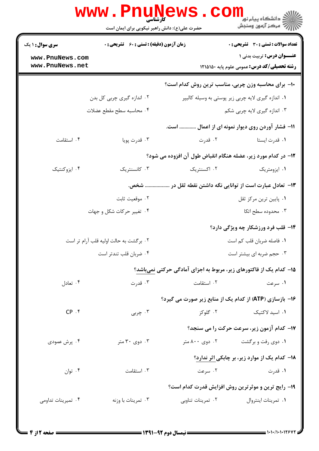|                                    | www.PnuNews                                   |                   | د دانشگاه پیام نور<br>ا∛ مرکز آزمون وسنجش                                               |  |
|------------------------------------|-----------------------------------------------|-------------------|-----------------------------------------------------------------------------------------|--|
|                                    | حضرت علی(ع): دانش راهبر نیکویی برای ایمان است |                   |                                                                                         |  |
| <b>سری سوال : ۱ یک</b>             | زمان آزمون (دقیقه) : تستی : 60 ٪ تشریحی : 0   |                   | <b>تعداد سوالات : تستی : 30 ٪ تشریحی : 0</b>                                            |  |
| www.PnuNews.com<br>www.PnuNews.net |                                               |                   | <b>عنـــوان درس:</b> تربیت بدنی ۱<br><b>رشته تحصیلی/کد درس:</b> عمومی علوم پایه ۱۲۱۵۱۵۰ |  |
|                                    |                                               |                   | ۱۰- برای محاسبه وزن چربی، مناسب ترین روش کدام است؟                                      |  |
|                                    | ۰۲ اندازه گیری چربی کل بدن                    |                   | ۰۱ اندازه گیری لایه چربی زیر پوستی به وسیله کالیپر                                      |  |
|                                    | ۰۴ محاسبه سطح مقطع عضلات                      |                   | ۰۳ اندازه گیری لایه چربی شکم                                                            |  |
|                                    |                                               |                   | 11- فشار آوردن روی دیوار نمونه ای از اعمال  است.                                        |  |
| ۰۴ استقامت                         | ۰۳ قدرت پویا                                  | ۰۲ قدرت           | ۰۱ قدرت ایستا                                                                           |  |
|                                    |                                               |                   | 12- در کدام مورد زیر، عضله هنگام انقباض طول آن افزوده می شود؟                           |  |
| ۰۴ ایزوکنتیک                       | ۰۳ کانسنتریک                                  | ۰۲ اکسنتریک       | ۰۱ ایزومتریک                                                                            |  |
|                                    | شخص.                                          |                   | ۱۳–  تعادل عبارت است از توانایی نگه داشتن نقطه ثقل در …                                 |  |
|                                    | ۰۲ موقعیت ثابت                                |                   | ۰۱ پایین ترین مرکز ثقل                                                                  |  |
|                                    | ۰۴ تغییر حرکات شکل و جهات                     |                   | ۰۳ محدوده سطح اتکا                                                                      |  |
|                                    |                                               |                   | <b>۱۴</b> - قلب فرد ورزشکار چه ویژگی دارد؟                                              |  |
|                                    | ۰۲ برگشت به حالت اولیه قلب آرام تر است        |                   | ۰۱ فاصله ضربان قلب کم است                                                               |  |
|                                    | ۰۴ ضربان قلب تندتر است                        |                   | ۰۳ حجم ضربه ای بیشتر است                                                                |  |
|                                    |                                               |                   | ۱۵– کدام یک از فاکتورهای زیر، مربوط به اجزای آمادگی حرکتی نمیباشد؟                      |  |
| ۰۴ تعادل                           | ۰۳ قدرت                                       | ٠٢ استقامت        | ۰۱ سرعت                                                                                 |  |
|                                    |                                               |                   | ۱۶- بازسازی (ATP) از کدام یک از منابع زیر صورت می گیرد؟                                 |  |
| CP.                                | ۰۳ چربی                                       | ۰۲ گلوکز          | ٠١. اسيد لاكتيك                                                                         |  |
|                                    |                                               |                   | 17- کدام آزمون زیر، سرعت حرکت را می سنجد؟                                               |  |
| ۰۴ پرش عمودی                       | ۰۳ دوی ۳۰ متر                                 | ۰۲ دوی ۸۰۰ متر    | ۰۱ دوی رفت و برگشت                                                                      |  |
|                                    |                                               |                   | 1۸- کدام یک از موارد زیر، بر چابکی اثر ندارد؟                                           |  |
| ۰۴ توان                            | ۰۳ استقامت                                    | ۰۲ سرعت           | ۰۱ قدرت                                                                                 |  |
|                                    |                                               |                   | ۱۹- رایج ترین و موثرترین روش افزایش قدرت کدام است؟                                      |  |
| ۰۴ تمیرینات تداومی                 | ۰۳ تمرينات با وزنه                            | ۰۲ تمرینات تناوبی | ٠١ تمرينات اينتروال                                                                     |  |
|                                    |                                               |                   |                                                                                         |  |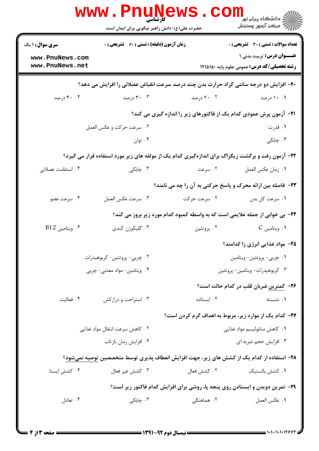|                                                                                                  | <b>WWW.PNUNEWS</b><br><b>کارشناسی</b><br>حضرت علی(ع): دانش راهبر نیکویی برای ایمان است |                                                                              | الان دانشگاه پيام نور دا<br>الان مرکز آزمون وسنجش  |  |  |
|--------------------------------------------------------------------------------------------------|----------------------------------------------------------------------------------------|------------------------------------------------------------------------------|----------------------------------------------------|--|--|
| <b>سری سوال : ۱ یک</b>                                                                           | <b>زمان آزمون (دقیقه) : تستی : 60 ٪ تشریحی : 0</b>                                     |                                                                              | <b>تعداد سوالات : تستی : 30 - تشریحی : 0</b>       |  |  |
| www.PnuNews.com                                                                                  |                                                                                        |                                                                              | <b>عنـــوان درس:</b> تربیت بدنی ۱                  |  |  |
| www.PnuNews.net                                                                                  |                                                                                        |                                                                              | <b>رشته تحصیلی/کد درس:</b> عمومی علوم پایه ۱۲۱۵۱۵۰ |  |  |
| +۲- افزایش دو درجه سانتی گراد حرارت بدن چند درصد سرعت انقباض عضلانی را افزایش می دهد؟            |                                                                                        |                                                                              |                                                    |  |  |
| ۴۰ . ۴۰ درصد                                                                                     | ۰.۳ درصد                                                                               | ۲۰ . ۲۰ درصد                                                                 | ۰.۱۰ درصد                                          |  |  |
|                                                                                                  |                                                                                        | <b>۲۱</b> - آزمون پرش عمودی کدام یک از فاکتورهای زیر را اندازه گیری می کند؟  |                                                    |  |  |
|                                                                                                  | ۰۲ سرعت حرکت و عکس العمل                                                               |                                                                              | ۰۱ قدرت                                            |  |  |
|                                                                                                  | ۰۴ توان                                                                                |                                                                              | ۰۳ چابکی                                           |  |  |
| ۲۲- آزمون رفت و برگشت زیگزاگ برای اندازهگیری کدام یک از مولفه های زیر مورد استفاده قرار می گیرد؟ |                                                                                        |                                                                              |                                                    |  |  |
| ۰۴ استقامت عضلانی                                                                                | ۰۳ چابکی                                                                               | ۰۲ سرعت                                                                      | ٠١. زمان عكس العمل                                 |  |  |
|                                                                                                  |                                                                                        | <b>33</b> - فاصله بین ارائه محرک و پاسخ حرکتی به آن را چه می نامند؟          |                                                    |  |  |
| ۰۴ سرعت عضو                                                                                      | ۰۳ سرعت عكس العمل                                                                      | ۰۲ سرعت حرکت                                                                 | ۰۱ سرعت کل بدن                                     |  |  |
|                                                                                                  |                                                                                        | ۲۴- بی خوابی از جمله علایمی است که به واسطه کمبود کدام مورد زیر بروز می کند؟ |                                                    |  |  |
| $B12$ ويتامين.                                                                                   | ۰۳ گلیکوژن کبدی                                                                        | ۰۲ پروتئين                                                                   | ۰۱ ویتامین C                                       |  |  |
|                                                                                                  |                                                                                        |                                                                              | ۲۵- مواد غذایی انرژی زا کدامند؟                    |  |  |
| ۰۲ چربی- پروتئین- کربوهیدرات                                                                     |                                                                                        | ۰۱ چربی- پروتئین- ویتامین                                                    |                                                    |  |  |
|                                                                                                  | ۰۴ ویتامین- مواد معدنی- چربی                                                           |                                                                              | ۰۳ کربوهیدرات- ویتامین- پروتئین                    |  |  |
|                                                                                                  |                                                                                        |                                                                              | ۲۶- کمترین ضربان قلب در کدام حالت است؟             |  |  |
| ۰۴ فعالیت                                                                                        | ۰۳ استراحت و درازکش                                                                    | ٠٢ ايستاده                                                                   | ۰۱ نشسته                                           |  |  |
|                                                                                                  |                                                                                        | ۲۷- کدام یک از موارد زیر، مربوط به اهداف گرم کردن است؟                       |                                                    |  |  |
| ۰۲ کاهش سرعت انتقال مواد غذایی                                                                   |                                                                                        | ۰۱ كاهش متابوليسم مواد غذايي                                                 |                                                    |  |  |
|                                                                                                  | ۰۴ افزایش زمان بازتاب                                                                  |                                                                              | ۰۳ افزایش حجم ضربه ای                              |  |  |
| ۲۸– استفاده از کدام یک از کشش های زیر، جهت افزایش انعطاف پذیری توسط متخصصین توصیه نمیشود؟        |                                                                                        |                                                                              |                                                    |  |  |
| ۰۴ کشش ایستا                                                                                     | ۰۳ كشش غير فعال                                                                        | ۰۲ کشش فعال                                                                  | ۰۱ کشش بالستیک                                     |  |  |
|                                                                                                  | ۲۹- تمرین دویدن و ایستادن روی پنجه پا، روشی برای افزایش کدام فاکتور زیر است؟           |                                                                              |                                                    |  |  |
| ۰۴ تعادل                                                                                         | ب چابکی $\cdot$ ۳                                                                      | ۰۲ هماهنگ <i>ی</i>                                                           | ٠١. عكس العمل                                      |  |  |
|                                                                                                  |                                                                                        |                                                                              |                                                    |  |  |
|                                                                                                  |                                                                                        |                                                                              |                                                    |  |  |